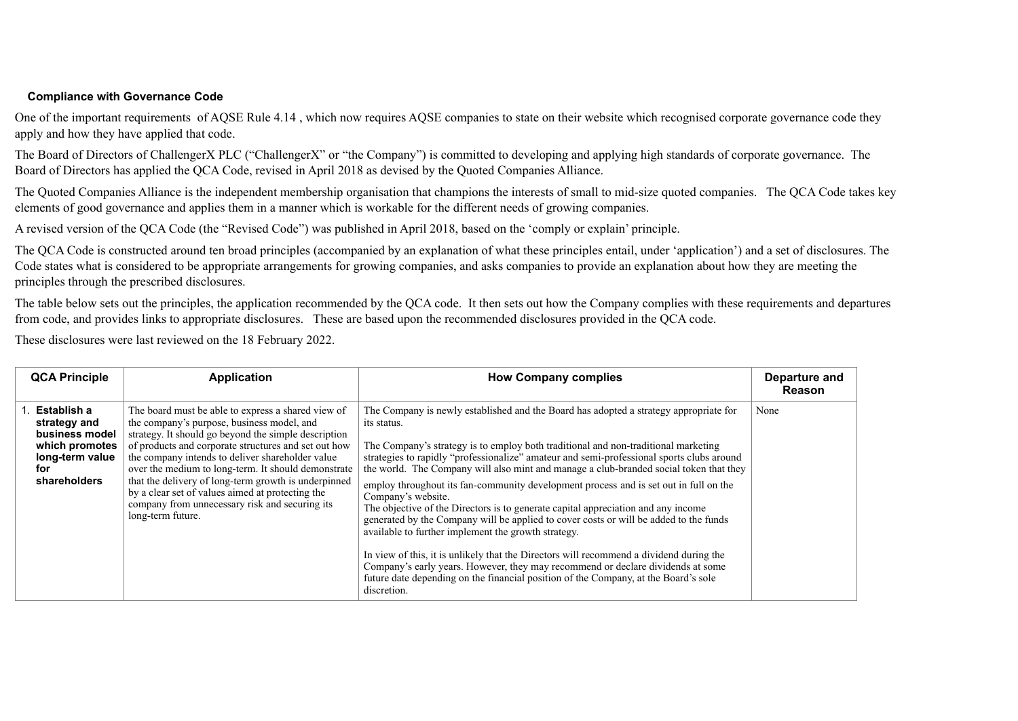## **Compliance with Governance Code**

One of the important requirements of AQSE Rule 4.14 , which now requires AQSE companies to state on their website which recognised corporate governance code they apply and how they have applied that code.

The Board of Directors of ChallengerX PLC ("ChallengerX" or "the Company") is committed to developing and applying high standards of corporate governance. The Board of Directors has applied the QCA Code, revised in April 2018 as devised by the Quoted Companies Alliance.

The Quoted Companies Alliance is the independent membership organisation that champions the interests of small to mid-size quoted companies. The QCA Code takes key elements of good governance and applies them in a manner which is workable for the different needs of growing companies.

A revised version of the QCA Code (the "Revised Code") was published in April 2018, based on the 'comply or explain' principle.

The QCA Code is constructed around ten broad principles (accompanied by an explanation of what these principles entail, under 'application') and a set of disclosures. The Code states what is considered to be appropriate arrangements for growing companies, and asks companies to provide an explanation about how they are meeting the principles through the prescribed disclosures.

The table below sets out the principles, the application recommended by the QCA code. It then sets out how the Company complies with these requirements and departures from code, and provides links to appropriate disclosures. These are based upon the recommended disclosures provided in the QCA code.

These disclosures were last reviewed on the 18 February 2022.

| <b>QCA Principle</b>                                                                                      | <b>Application</b>                                                                                                                                                                                                                                                                                                                                                                                                                                                                                             | <b>How Company complies</b>                                                                                                                                                                                                                                                                                                                                                                                                                                                                                                                                                                                                                                                                                                                                                                                                                                                                                                                                                                                               | Departure and<br><b>Reason</b> |
|-----------------------------------------------------------------------------------------------------------|----------------------------------------------------------------------------------------------------------------------------------------------------------------------------------------------------------------------------------------------------------------------------------------------------------------------------------------------------------------------------------------------------------------------------------------------------------------------------------------------------------------|---------------------------------------------------------------------------------------------------------------------------------------------------------------------------------------------------------------------------------------------------------------------------------------------------------------------------------------------------------------------------------------------------------------------------------------------------------------------------------------------------------------------------------------------------------------------------------------------------------------------------------------------------------------------------------------------------------------------------------------------------------------------------------------------------------------------------------------------------------------------------------------------------------------------------------------------------------------------------------------------------------------------------|--------------------------------|
| Establish a<br>strategy and<br>business model<br>which promotes<br>long-term value<br>for<br>shareholders | The board must be able to express a shared view of<br>the company's purpose, business model, and<br>strategy. It should go beyond the simple description<br>of products and corporate structures and set out how<br>the company intends to deliver shareholder value<br>over the medium to long-term. It should demonstrate<br>that the delivery of long-term growth is underpinned<br>by a clear set of values aimed at protecting the<br>company from unnecessary risk and securing its<br>long-term future. | The Company is newly established and the Board has adopted a strategy appropriate for<br>its status.<br>The Company's strategy is to employ both traditional and non-traditional marketing<br>strategies to rapidly "professionalize" amateur and semi-professional sports clubs around<br>the world. The Company will also mint and manage a club-branded social token that they<br>employ throughout its fan-community development process and is set out in full on the<br>Company's website.<br>The objective of the Directors is to generate capital appreciation and any income<br>generated by the Company will be applied to cover costs or will be added to the funds<br>available to further implement the growth strategy.<br>In view of this, it is unlikely that the Directors will recommend a dividend during the<br>Company's early years. However, they may recommend or declare dividends at some<br>future date depending on the financial position of the Company, at the Board's sole<br>discretion. | None                           |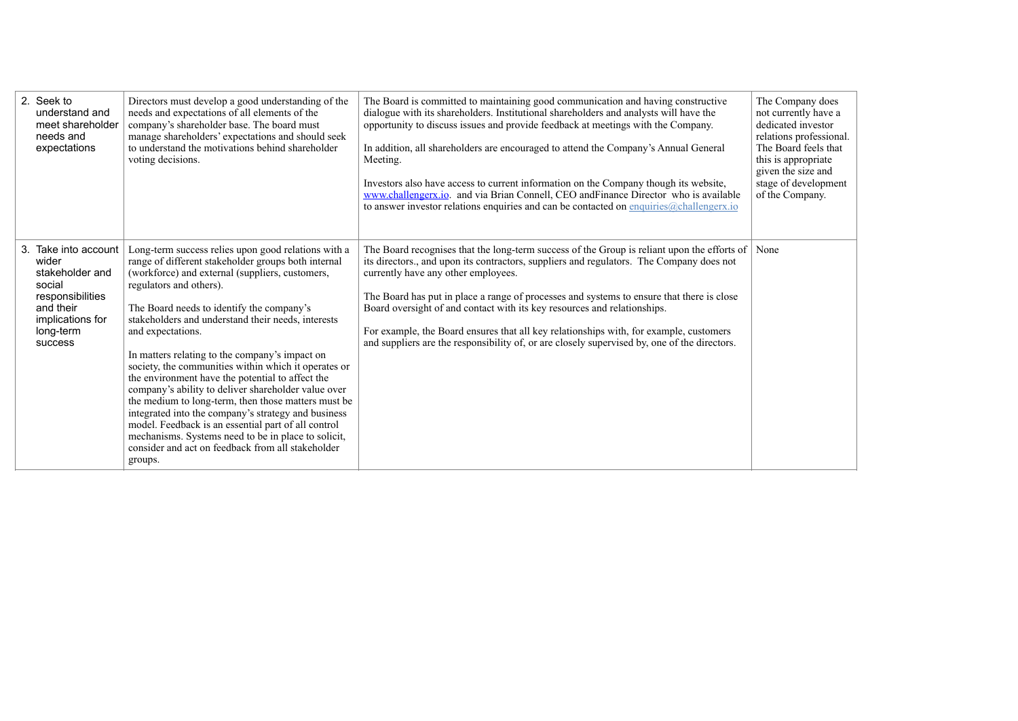| 2. Seek to<br>understand and<br>meet shareholder<br>needs and<br>expectations                                                           | Directors must develop a good understanding of the<br>needs and expectations of all elements of the<br>company's shareholder base. The board must<br>manage shareholders' expectations and should seek<br>to understand the motivations behind shareholder<br>voting decisions.                                                                                                                                                                                                                                                                                                                                                                                                                                                                                                                                                   | The Board is committed to maintaining good communication and having constructive<br>dialogue with its shareholders. Institutional shareholders and analysts will have the<br>opportunity to discuss issues and provide feedback at meetings with the Company.<br>In addition, all shareholders are encouraged to attend the Company's Annual General<br>Meeting.<br>Investors also have access to current information on the Company though its website,<br>www.challengerx.io. and via Brian Connell, CEO and Finance Director who is available<br>to answer investor relations enquiries and can be contacted on enquiries@challengerx.io | The Company does<br>not currently have a<br>dedicated investor<br>relations professional.<br>The Board feels that<br>this is appropriate<br>given the size and<br>stage of development<br>of the Company. |
|-----------------------------------------------------------------------------------------------------------------------------------------|-----------------------------------------------------------------------------------------------------------------------------------------------------------------------------------------------------------------------------------------------------------------------------------------------------------------------------------------------------------------------------------------------------------------------------------------------------------------------------------------------------------------------------------------------------------------------------------------------------------------------------------------------------------------------------------------------------------------------------------------------------------------------------------------------------------------------------------|---------------------------------------------------------------------------------------------------------------------------------------------------------------------------------------------------------------------------------------------------------------------------------------------------------------------------------------------------------------------------------------------------------------------------------------------------------------------------------------------------------------------------------------------------------------------------------------------------------------------------------------------|-----------------------------------------------------------------------------------------------------------------------------------------------------------------------------------------------------------|
| 3. Take into account<br>wider<br>stakeholder and<br>social<br>responsibilities<br>and their<br>implications for<br>long-term<br>success | Long-term success relies upon good relations with a<br>range of different stakeholder groups both internal<br>(workforce) and external (suppliers, customers,<br>regulators and others).<br>The Board needs to identify the company's<br>stakeholders and understand their needs, interests<br>and expectations.<br>In matters relating to the company's impact on<br>society, the communities within which it operates or<br>the environment have the potential to affect the<br>company's ability to deliver shareholder value over<br>the medium to long-term, then those matters must be<br>integrated into the company's strategy and business<br>model. Feedback is an essential part of all control<br>mechanisms. Systems need to be in place to solicit,<br>consider and act on feedback from all stakeholder<br>groups. | The Board recognises that the long-term success of the Group is reliant upon the efforts of<br>its directors., and upon its contractors, suppliers and regulators. The Company does not<br>currently have any other employees.<br>The Board has put in place a range of processes and systems to ensure that there is close<br>Board oversight of and contact with its key resources and relationships.<br>For example, the Board ensures that all key relationships with, for example, customers<br>and suppliers are the responsibility of, or are closely supervised by, one of the directors.                                           | None                                                                                                                                                                                                      |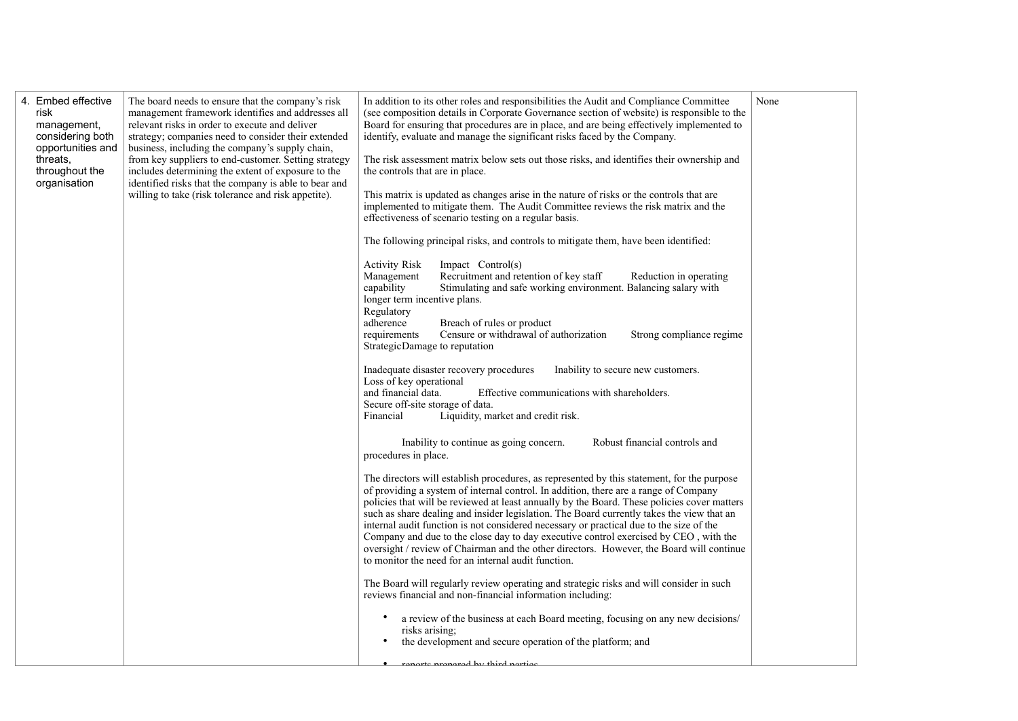| 4. Embed effective<br>The board needs to ensure that the company's risk<br>management framework identifies and addresses all<br>risk<br>relevant risks in order to execute and deliver<br>management,<br>considering both<br>strategy; companies need to consider their extended<br>opportunities and<br>business, including the company's supply chain,<br>from key suppliers to end-customer. Setting strategy<br>threats,<br>throughout the<br>includes determining the extent of exposure to the<br>identified risks that the company is able to bear and<br>organisation<br>willing to take (risk tolerance and risk appetite).<br><b>Activity Risk</b><br>Management<br>capability<br>Regulatory<br>adherence<br>requirements<br>Financial | None<br>In addition to its other roles and responsibilities the Audit and Compliance Committee<br>(see composition details in Corporate Governance section of website) is responsible to the<br>Board for ensuring that procedures are in place, and are being effectively implemented to<br>identify, evaluate and manage the significant risks faced by the Company.<br>The risk assessment matrix below sets out those risks, and identifies their ownership and<br>the controls that are in place.<br>This matrix is updated as changes arise in the nature of risks or the controls that are<br>implemented to mitigate them. The Audit Committee reviews the risk matrix and the<br>effectiveness of scenario testing on a regular basis.<br>The following principal risks, and controls to mitigate them, have been identified:<br>Impact Control(s)<br>Recruitment and retention of key staff<br>Reduction in operating<br>Stimulating and safe working environment. Balancing salary with<br>longer term incentive plans.<br>Breach of rules or product<br>Censure or withdrawal of authorization<br>Strong compliance regime<br>Strategic Damage to reputation<br>Inadequate disaster recovery procedures<br>Inability to secure new customers.<br>Loss of key operational<br>and financial data.<br>Effective communications with shareholders.<br>Secure off-site storage of data.<br>Liquidity, market and credit risk.<br>Inability to continue as going concern.<br>Robust financial controls and<br>procedures in place.<br>The directors will establish procedures, as represented by this statement, for the purpose<br>of providing a system of internal control. In addition, there are a range of Company<br>policies that will be reviewed at least annually by the Board. These policies cover matters<br>such as share dealing and insider legislation. The Board currently takes the view that an<br>internal audit function is not considered necessary or practical due to the size of the<br>Company and due to the close day to day executive control exercised by CEO, with the<br>oversight / review of Chairman and the other directors. However, the Board will continue<br>to monitor the need for an internal audit function.<br>The Board will regularly review operating and strategic risks and will consider in such<br>reviews financial and non-financial information including:<br>a review of the business at each Board meeting, focusing on any new decisions/<br>risks arising;<br>the development and secure operation of the platform; and<br>ranarte pranarad by third nortiae |
|--------------------------------------------------------------------------------------------------------------------------------------------------------------------------------------------------------------------------------------------------------------------------------------------------------------------------------------------------------------------------------------------------------------------------------------------------------------------------------------------------------------------------------------------------------------------------------------------------------------------------------------------------------------------------------------------------------------------------------------------------|---------------------------------------------------------------------------------------------------------------------------------------------------------------------------------------------------------------------------------------------------------------------------------------------------------------------------------------------------------------------------------------------------------------------------------------------------------------------------------------------------------------------------------------------------------------------------------------------------------------------------------------------------------------------------------------------------------------------------------------------------------------------------------------------------------------------------------------------------------------------------------------------------------------------------------------------------------------------------------------------------------------------------------------------------------------------------------------------------------------------------------------------------------------------------------------------------------------------------------------------------------------------------------------------------------------------------------------------------------------------------------------------------------------------------------------------------------------------------------------------------------------------------------------------------------------------------------------------------------------------------------------------------------------------------------------------------------------------------------------------------------------------------------------------------------------------------------------------------------------------------------------------------------------------------------------------------------------------------------------------------------------------------------------------------------------------------------------------------------------------------------------------------------------------------------------------------------------------------------------------------------------------------------------------------------------------------------------------------------------------------------------------------------------------------------------------------------------------------------------------------------------------------------------------------------------------------------------------------------------------------------|
|--------------------------------------------------------------------------------------------------------------------------------------------------------------------------------------------------------------------------------------------------------------------------------------------------------------------------------------------------------------------------------------------------------------------------------------------------------------------------------------------------------------------------------------------------------------------------------------------------------------------------------------------------------------------------------------------------------------------------------------------------|---------------------------------------------------------------------------------------------------------------------------------------------------------------------------------------------------------------------------------------------------------------------------------------------------------------------------------------------------------------------------------------------------------------------------------------------------------------------------------------------------------------------------------------------------------------------------------------------------------------------------------------------------------------------------------------------------------------------------------------------------------------------------------------------------------------------------------------------------------------------------------------------------------------------------------------------------------------------------------------------------------------------------------------------------------------------------------------------------------------------------------------------------------------------------------------------------------------------------------------------------------------------------------------------------------------------------------------------------------------------------------------------------------------------------------------------------------------------------------------------------------------------------------------------------------------------------------------------------------------------------------------------------------------------------------------------------------------------------------------------------------------------------------------------------------------------------------------------------------------------------------------------------------------------------------------------------------------------------------------------------------------------------------------------------------------------------------------------------------------------------------------------------------------------------------------------------------------------------------------------------------------------------------------------------------------------------------------------------------------------------------------------------------------------------------------------------------------------------------------------------------------------------------------------------------------------------------------------------------------------------------|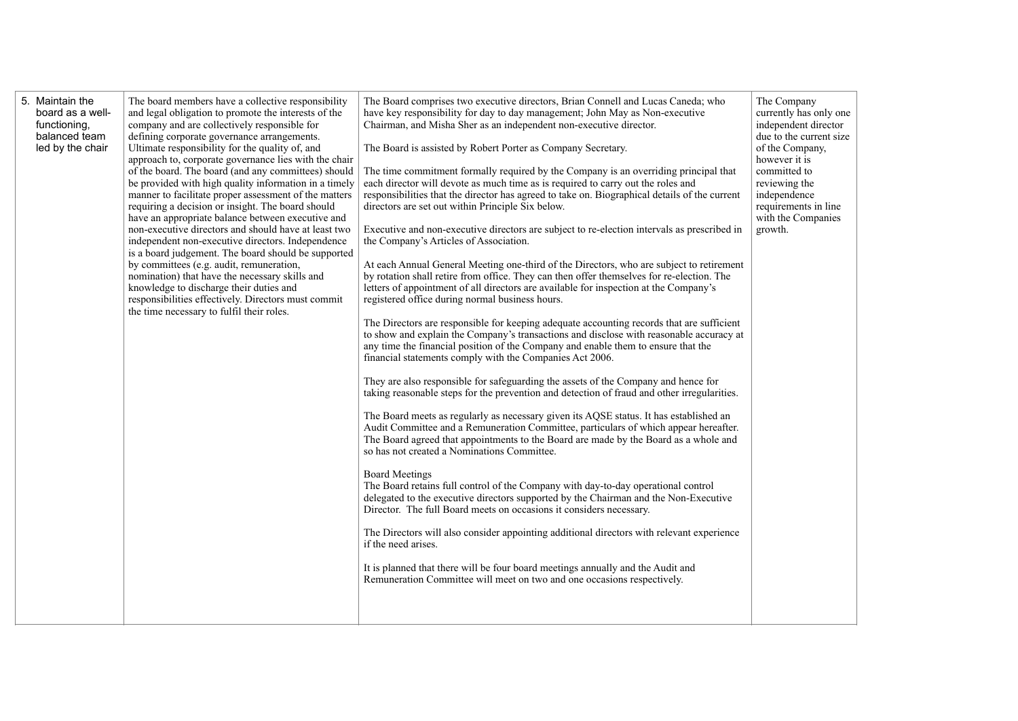| board as a well-<br>functioning,<br>balanced team<br>led by the chair | The board members have a collective responsibility<br>and legal obligation to promote the interests of the<br>company and are collectively responsible for<br>defining corporate governance arrangements.<br>Ultimate responsibility for the quality of, and<br>approach to, corporate governance lies with the chair<br>of the board. The board (and any committees) should<br>be provided with high quality information in a timely<br>manner to facilitate proper assessment of the matters<br>requiring a decision or insight. The board should<br>have an appropriate balance between executive and<br>non-executive directors and should have at least two<br>independent non-executive directors. Independence<br>is a board judgement. The board should be supported<br>by committees (e.g. audit, remuneration,<br>nomination) that have the necessary skills and<br>knowledge to discharge their duties and<br>responsibilities effectively. Directors must commit<br>the time necessary to fulfil their roles. | The Board comprises two executive directors, Brian Connell and Lucas Caneda; who<br>have key responsibility for day to day management; John May as Non-executive<br>Chairman, and Misha Sher as an independent non-executive director.<br>The Board is assisted by Robert Porter as Company Secretary.<br>The time commitment formally required by the Company is an overriding principal that<br>each director will devote as much time as is required to carry out the roles and<br>responsibilities that the director has agreed to take on. Biographical details of the current<br>directors are set out within Principle Six below.<br>Executive and non-executive directors are subject to re-election intervals as prescribed in<br>the Company's Articles of Association.<br>At each Annual General Meeting one-third of the Directors, who are subject to retirement<br>by rotation shall retire from office. They can then offer themselves for re-election. The<br>letters of appointment of all directors are available for inspection at the Company's<br>registered office during normal business hours.<br>The Directors are responsible for keeping adequate accounting records that are sufficient<br>to show and explain the Company's transactions and disclose with reasonable accuracy at<br>any time the financial position of the Company and enable them to ensure that the<br>financial statements comply with the Companies Act 2006.<br>They are also responsible for safeguarding the assets of the Company and hence for<br>taking reasonable steps for the prevention and detection of fraud and other irregularities.<br>The Board meets as regularly as necessary given its AQSE status. It has established an<br>Audit Committee and a Remuneration Committee, particulars of which appear hereafter.<br>The Board agreed that appointments to the Board are made by the Board as a whole and<br>so has not created a Nominations Committee.<br><b>Board Meetings</b><br>The Board retains full control of the Company with day-to-day operational control<br>delegated to the executive directors supported by the Chairman and the Non-Executive<br>Director. The full Board meets on occasions it considers necessary.<br>The Directors will also consider appointing additional directors with relevant experience<br>if the need arises.<br>It is planned that there will be four board meetings annually and the Audit and<br>Remuneration Committee will meet on two and one occasions respectively. | The Company<br>currently has only one<br>independent director<br>due to the current size<br>of the Company,<br>however it is<br>committed to<br>reviewing the<br>independence<br>requirements in line<br>with the Companies<br>growth. |
|-----------------------------------------------------------------------|---------------------------------------------------------------------------------------------------------------------------------------------------------------------------------------------------------------------------------------------------------------------------------------------------------------------------------------------------------------------------------------------------------------------------------------------------------------------------------------------------------------------------------------------------------------------------------------------------------------------------------------------------------------------------------------------------------------------------------------------------------------------------------------------------------------------------------------------------------------------------------------------------------------------------------------------------------------------------------------------------------------------------|----------------------------------------------------------------------------------------------------------------------------------------------------------------------------------------------------------------------------------------------------------------------------------------------------------------------------------------------------------------------------------------------------------------------------------------------------------------------------------------------------------------------------------------------------------------------------------------------------------------------------------------------------------------------------------------------------------------------------------------------------------------------------------------------------------------------------------------------------------------------------------------------------------------------------------------------------------------------------------------------------------------------------------------------------------------------------------------------------------------------------------------------------------------------------------------------------------------------------------------------------------------------------------------------------------------------------------------------------------------------------------------------------------------------------------------------------------------------------------------------------------------------------------------------------------------------------------------------------------------------------------------------------------------------------------------------------------------------------------------------------------------------------------------------------------------------------------------------------------------------------------------------------------------------------------------------------------------------------------------------------------------------------------------------------------------------------------------------------------------------------------------------------------------------------------------------------------------------------------------------------------------------------------------------------------------------------------------------------------------------------------------------------------------------------------------------------------------------------------------------------------------------------------------------|----------------------------------------------------------------------------------------------------------------------------------------------------------------------------------------------------------------------------------------|
|-----------------------------------------------------------------------|---------------------------------------------------------------------------------------------------------------------------------------------------------------------------------------------------------------------------------------------------------------------------------------------------------------------------------------------------------------------------------------------------------------------------------------------------------------------------------------------------------------------------------------------------------------------------------------------------------------------------------------------------------------------------------------------------------------------------------------------------------------------------------------------------------------------------------------------------------------------------------------------------------------------------------------------------------------------------------------------------------------------------|----------------------------------------------------------------------------------------------------------------------------------------------------------------------------------------------------------------------------------------------------------------------------------------------------------------------------------------------------------------------------------------------------------------------------------------------------------------------------------------------------------------------------------------------------------------------------------------------------------------------------------------------------------------------------------------------------------------------------------------------------------------------------------------------------------------------------------------------------------------------------------------------------------------------------------------------------------------------------------------------------------------------------------------------------------------------------------------------------------------------------------------------------------------------------------------------------------------------------------------------------------------------------------------------------------------------------------------------------------------------------------------------------------------------------------------------------------------------------------------------------------------------------------------------------------------------------------------------------------------------------------------------------------------------------------------------------------------------------------------------------------------------------------------------------------------------------------------------------------------------------------------------------------------------------------------------------------------------------------------------------------------------------------------------------------------------------------------------------------------------------------------------------------------------------------------------------------------------------------------------------------------------------------------------------------------------------------------------------------------------------------------------------------------------------------------------------------------------------------------------------------------------------------------------|----------------------------------------------------------------------------------------------------------------------------------------------------------------------------------------------------------------------------------------|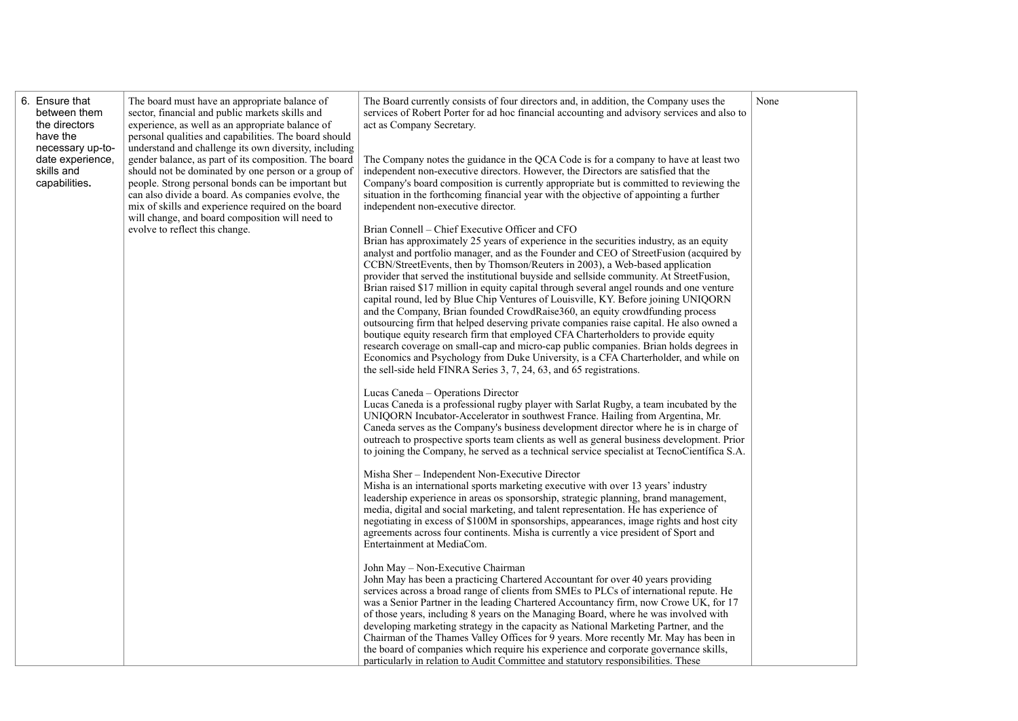|  | 6. Ensure that<br>between them<br>the directors<br>have the<br>necessary up-to-<br>date experience,<br>skills and<br>capabilities. | The board must have an appropriate balance of<br>sector, financial and public markets skills and<br>experience, as well as an appropriate balance of<br>personal qualities and capabilities. The board should<br>understand and challenge its own diversity, including<br>gender balance, as part of its composition. The board<br>should not be dominated by one person or a group of<br>people. Strong personal bonds can be important but<br>can also divide a board. As companies evolve, the<br>mix of skills and experience required on the board<br>will change, and board composition will need to<br>evolve to reflect this change. | The Board currently consists of four directors and, in addition, the Company uses the<br>services of Robert Porter for ad hoc financial accounting and advisory services and also to<br>act as Company Secretary.<br>The Company notes the guidance in the QCA Code is for a company to have at least two<br>independent non-executive directors. However, the Directors are satisfied that the<br>Company's board composition is currently appropriate but is committed to reviewing the<br>situation in the forthcoming financial year with the objective of appointing a further<br>independent non-executive director.<br>Brian Connell - Chief Executive Officer and CFO<br>Brian has approximately 25 years of experience in the securities industry, as an equity<br>analyst and portfolio manager, and as the Founder and CEO of StreetFusion (acquired by<br>CCBN/StreetEvents, then by Thomson/Reuters in 2003), a Web-based application<br>provider that served the institutional buyside and sellside community. At StreetFusion,<br>Brian raised \$17 million in equity capital through several angel rounds and one venture<br>capital round, led by Blue Chip Ventures of Louisville, KY. Before joining UNIQORN<br>and the Company, Brian founded CrowdRaise360, an equity crowdfunding process<br>outsourcing firm that helped deserving private companies raise capital. He also owned a<br>boutique equity research firm that employed CFA Charterholders to provide equity<br>research coverage on small-cap and micro-cap public companies. Brian holds degrees in<br>Economics and Psychology from Duke University, is a CFA Charterholder, and while on<br>the sell-side held FINRA Series 3, 7, 24, 63, and 65 registrations.<br>Lucas Caneda - Operations Director<br>Lucas Caneda is a professional rugby player with Sarlat Rugby, a team incubated by the<br>UNIQORN Incubator-Accelerator in southwest France. Hailing from Argentina, Mr.<br>Caneda serves as the Company's business development director where he is in charge of<br>outreach to prospective sports team clients as well as general business development. Prior<br>to joining the Company, he served as a technical service specialist at TecnoCientífica S.A.<br>Misha Sher - Independent Non-Executive Director<br>Misha is an international sports marketing executive with over 13 years' industry<br>leadership experience in areas os sponsorship, strategic planning, brand management,<br>media, digital and social marketing, and talent representation. He has experience of<br>negotiating in excess of \$100M in sponsorships, appearances, image rights and host city<br>agreements across four continents. Misha is currently a vice president of Sport and<br>Entertainment at MediaCom.<br>John May - Non-Executive Chairman<br>John May has been a practicing Chartered Accountant for over 40 years providing<br>services across a broad range of clients from SMEs to PLCs of international repute. He<br>was a Senior Partner in the leading Chartered Accountancy firm, now Crowe UK, for 17<br>of those years, including 8 years on the Managing Board, where he was involved with<br>developing marketing strategy in the capacity as National Marketing Partner, and the<br>Chairman of the Thames Valley Offices for 9 years. More recently Mr. May has been in<br>the board of companies which require his experience and corporate governance skills,<br>particularly in relation to Audit Committee and statutory responsibilities. These | None |
|--|------------------------------------------------------------------------------------------------------------------------------------|----------------------------------------------------------------------------------------------------------------------------------------------------------------------------------------------------------------------------------------------------------------------------------------------------------------------------------------------------------------------------------------------------------------------------------------------------------------------------------------------------------------------------------------------------------------------------------------------------------------------------------------------|----------------------------------------------------------------------------------------------------------------------------------------------------------------------------------------------------------------------------------------------------------------------------------------------------------------------------------------------------------------------------------------------------------------------------------------------------------------------------------------------------------------------------------------------------------------------------------------------------------------------------------------------------------------------------------------------------------------------------------------------------------------------------------------------------------------------------------------------------------------------------------------------------------------------------------------------------------------------------------------------------------------------------------------------------------------------------------------------------------------------------------------------------------------------------------------------------------------------------------------------------------------------------------------------------------------------------------------------------------------------------------------------------------------------------------------------------------------------------------------------------------------------------------------------------------------------------------------------------------------------------------------------------------------------------------------------------------------------------------------------------------------------------------------------------------------------------------------------------------------------------------------------------------------------------------------------------------------------------------------------------------------------------------------------------------------------------------------------------------------------------------------------------------------------------------------------------------------------------------------------------------------------------------------------------------------------------------------------------------------------------------------------------------------------------------------------------------------------------------------------------------------------------------------------------------------------------------------------------------------------------------------------------------------------------------------------------------------------------------------------------------------------------------------------------------------------------------------------------------------------------------------------------------------------------------------------------------------------------------------------------------------------------------------------------------------------------------------------------------------------------------------------------------------------------------------------------------------------------------------------------------------------------------------------------------------------------------------------------------------------------------------------------------------------------------------------------------------------------------------------------------------------------------------------------------------------|------|
|--|------------------------------------------------------------------------------------------------------------------------------------|----------------------------------------------------------------------------------------------------------------------------------------------------------------------------------------------------------------------------------------------------------------------------------------------------------------------------------------------------------------------------------------------------------------------------------------------------------------------------------------------------------------------------------------------------------------------------------------------------------------------------------------------|----------------------------------------------------------------------------------------------------------------------------------------------------------------------------------------------------------------------------------------------------------------------------------------------------------------------------------------------------------------------------------------------------------------------------------------------------------------------------------------------------------------------------------------------------------------------------------------------------------------------------------------------------------------------------------------------------------------------------------------------------------------------------------------------------------------------------------------------------------------------------------------------------------------------------------------------------------------------------------------------------------------------------------------------------------------------------------------------------------------------------------------------------------------------------------------------------------------------------------------------------------------------------------------------------------------------------------------------------------------------------------------------------------------------------------------------------------------------------------------------------------------------------------------------------------------------------------------------------------------------------------------------------------------------------------------------------------------------------------------------------------------------------------------------------------------------------------------------------------------------------------------------------------------------------------------------------------------------------------------------------------------------------------------------------------------------------------------------------------------------------------------------------------------------------------------------------------------------------------------------------------------------------------------------------------------------------------------------------------------------------------------------------------------------------------------------------------------------------------------------------------------------------------------------------------------------------------------------------------------------------------------------------------------------------------------------------------------------------------------------------------------------------------------------------------------------------------------------------------------------------------------------------------------------------------------------------------------------------------------------------------------------------------------------------------------------------------------------------------------------------------------------------------------------------------------------------------------------------------------------------------------------------------------------------------------------------------------------------------------------------------------------------------------------------------------------------------------------------------------------------------------------------------------------------------------------|------|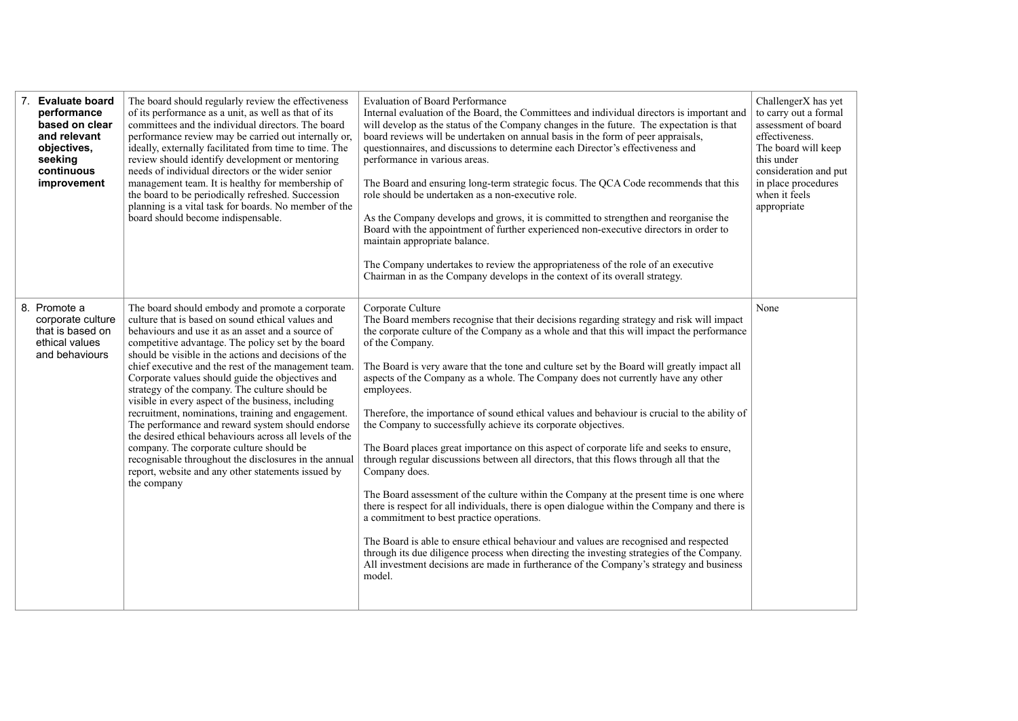| 7. Evaluate board<br>performance<br>based on clear<br>and relevant<br>objectives,<br>seeking<br>continuous<br>improvement | The board should regularly review the effectiveness<br>of its performance as a unit, as well as that of its<br>committees and the individual directors. The board<br>performance review may be carried out internally or,<br>ideally, externally facilitated from time to time. The<br>review should identify development or mentoring<br>needs of individual directors or the wider senior<br>management team. It is healthy for membership of<br>the board to be periodically refreshed. Succession<br>planning is a vital task for boards. No member of the<br>board should become indispensable.                                                                                                                                                                                                                                        | <b>Evaluation of Board Performance</b><br>Internal evaluation of the Board, the Committees and individual directors is important and<br>will develop as the status of the Company changes in the future. The expectation is that<br>board reviews will be undertaken on annual basis in the form of peer appraisals,<br>questionnaires, and discussions to determine each Director's effectiveness and<br>performance in various areas.<br>The Board and ensuring long-term strategic focus. The QCA Code recommends that this<br>role should be undertaken as a non-executive role.<br>As the Company develops and grows, it is committed to strengthen and reorganise the<br>Board with the appointment of further experienced non-executive directors in order to<br>maintain appropriate balance.<br>The Company undertakes to review the appropriateness of the role of an executive<br>Chairman in as the Company develops in the context of its overall strategy.                                                                                                                                                                                                                                                                                                                                                                 | ChallengerX has yet<br>to carry out a formal<br>assessment of board<br>effectiveness.<br>The board will keep<br>this under<br>consideration and put<br>in place procedures<br>when it feels<br>appropriate |
|---------------------------------------------------------------------------------------------------------------------------|---------------------------------------------------------------------------------------------------------------------------------------------------------------------------------------------------------------------------------------------------------------------------------------------------------------------------------------------------------------------------------------------------------------------------------------------------------------------------------------------------------------------------------------------------------------------------------------------------------------------------------------------------------------------------------------------------------------------------------------------------------------------------------------------------------------------------------------------|------------------------------------------------------------------------------------------------------------------------------------------------------------------------------------------------------------------------------------------------------------------------------------------------------------------------------------------------------------------------------------------------------------------------------------------------------------------------------------------------------------------------------------------------------------------------------------------------------------------------------------------------------------------------------------------------------------------------------------------------------------------------------------------------------------------------------------------------------------------------------------------------------------------------------------------------------------------------------------------------------------------------------------------------------------------------------------------------------------------------------------------------------------------------------------------------------------------------------------------------------------------------------------------------------------------------------------------|------------------------------------------------------------------------------------------------------------------------------------------------------------------------------------------------------------|
| 8. Promote a<br>corporate culture<br>that is based on<br>ethical values<br>and behaviours                                 | The board should embody and promote a corporate<br>culture that is based on sound ethical values and<br>behaviours and use it as an asset and a source of<br>competitive advantage. The policy set by the board<br>should be visible in the actions and decisions of the<br>chief executive and the rest of the management team.<br>Corporate values should guide the objectives and<br>strategy of the company. The culture should be<br>visible in every aspect of the business, including<br>recruitment, nominations, training and engagement.<br>The performance and reward system should endorse<br>the desired ethical behaviours across all levels of the<br>company. The corporate culture should be<br>recognisable throughout the disclosures in the annual<br>report, website and any other statements issued by<br>the company | Corporate Culture<br>The Board members recognise that their decisions regarding strategy and risk will impact<br>the corporate culture of the Company as a whole and that this will impact the performance<br>of the Company.<br>The Board is very aware that the tone and culture set by the Board will greatly impact all<br>aspects of the Company as a whole. The Company does not currently have any other<br>employees.<br>Therefore, the importance of sound ethical values and behaviour is crucial to the ability of<br>the Company to successfully achieve its corporate objectives.<br>The Board places great importance on this aspect of corporate life and seeks to ensure,<br>through regular discussions between all directors, that this flows through all that the<br>Company does.<br>The Board assessment of the culture within the Company at the present time is one where<br>there is respect for all individuals, there is open dialogue within the Company and there is<br>a commitment to best practice operations.<br>The Board is able to ensure ethical behaviour and values are recognised and respected<br>through its due diligence process when directing the investing strategies of the Company.<br>All investment decisions are made in furtherance of the Company's strategy and business<br>model. | None                                                                                                                                                                                                       |